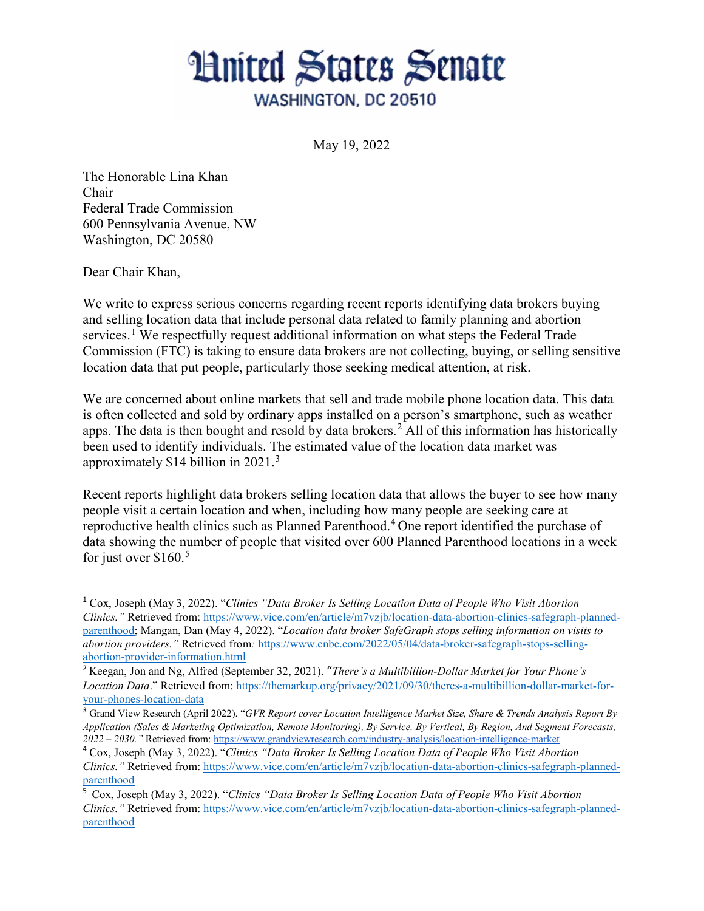## **Hnited States Senate** WASHINGTON, DC 20510

May 19, 2022

The Honorable Lina Khan Chair Federal Trade Commission 600 Pennsylvania Avenue, NW Washington, DC 20580

Dear Chair Khan,

We write to express serious concerns regarding recent reports identifying data brokers buying and selling location data that include personal data related to family planning and abortion services.<sup>[1](#page-0-0)</sup> We respectfully request additional information on what steps the Federal Trade Commission (FTC) is taking to ensure data brokers are not collecting, buying, or selling sensitive location data that put people, particularly those seeking medical attention, at risk.

We are concerned about online markets that sell and trade mobile phone location data. This data is often collected and sold by ordinary apps installed on a person's smartphone, such as weather apps. The data is then bought and resold by data brokers.<sup>[2](#page-0-1)</sup> All of this information has historically been used to identify individuals. The estimated value of the location data market was approximately \$14 billion in 2021. $3$ 

Recent reports highlight data brokers selling location data that allows the buyer to see how many people visit a certain location and when, including how many people are seeking care at reproductive health clinics such as Planned Parenthood.<sup>[4](#page-0-3)</sup> One report identified the purchase of data showing the number of people that visited over 600 Planned Parenthood locations in a week for just over  $$160.<sup>5</sup>$  $$160.<sup>5</sup>$  $$160.<sup>5</sup>$ 

<span id="page-0-0"></span><sup>1</sup> Cox, Joseph (May 3, 2022). "*Clinics "Data Broker Is Selling Location Data of People Who Visit Abortion Clinics."* Retrieved from: [https://www.vice.com/en/article/m7vzjb/location-data-abortion-clinics-safegraph-planned](https://www.vice.com/en/article/m7vzjb/location-data-abortion-clinics-safegraph-planned-parenthood)[parenthood;](https://www.vice.com/en/article/m7vzjb/location-data-abortion-clinics-safegraph-planned-parenthood) Mangan, Dan (May 4, 2022). "*Location data broker SafeGraph stops selling information on visits to abortion providers."* Retrieved from*:* [https://www.cnbc.com/2022/05/04/data-broker-safegraph-stops-selling](https://www.cnbc.com/2022/05/04/data-broker-safegraph-stops-selling-abortion-provider-information.html)[abortion-provider-information.html](https://www.cnbc.com/2022/05/04/data-broker-safegraph-stops-selling-abortion-provider-information.html) 

<span id="page-0-1"></span><sup>2</sup> Keegan, Jon and Ng, Alfred (September 32, 2021). "*There's a Multibillion-Dollar Market for Your Phone's Location Data*." Retrieved from: [https://themarkup.org/privacy/2021/09/30/theres-a-multibillion-dollar-market-for](https://themarkup.org/privacy/2021/09/30/theres-a-multibillion-dollar-market-for-your-phones-location-data)[your-phones-location-data](https://themarkup.org/privacy/2021/09/30/theres-a-multibillion-dollar-market-for-your-phones-location-data) 

<span id="page-0-2"></span><sup>3</sup> Grand View Research (April 2022). "*GVR Report cover Location Intelligence Market Size, Share & Trends Analysis Report By Application (Sales & Marketing Optimization, Remote Monitoring), By Service, By Vertical, By Region, And Segment Forecasts, 2022 – 2030."* Retrieved from:<https://www.grandviewresearch.com/industry-analysis/location-intelligence-market>

<span id="page-0-3"></span><sup>4</sup> Cox, Joseph (May 3, 2022). "*Clinics "Data Broker Is Selling Location Data of People Who Visit Abortion Clinics."* Retrieved from: [https://www.vice.com/en/article/m7vzjb/location-data-abortion-clinics-safegraph-planned](https://www.vice.com/en/article/m7vzjb/location-data-abortion-clinics-safegraph-planned-parenthood)[parenthood](https://www.vice.com/en/article/m7vzjb/location-data-abortion-clinics-safegraph-planned-parenthood)

<span id="page-0-4"></span><sup>5</sup> Cox, Joseph (May 3, 2022). "*Clinics "Data Broker Is Selling Location Data of People Who Visit Abortion Clinics."* Retrieved from: [https://www.vice.com/en/article/m7vzjb/location-data-abortion-clinics-safegraph-planned](https://www.vice.com/en/article/m7vzjb/location-data-abortion-clinics-safegraph-planned-parenthood)[parenthood](https://www.vice.com/en/article/m7vzjb/location-data-abortion-clinics-safegraph-planned-parenthood)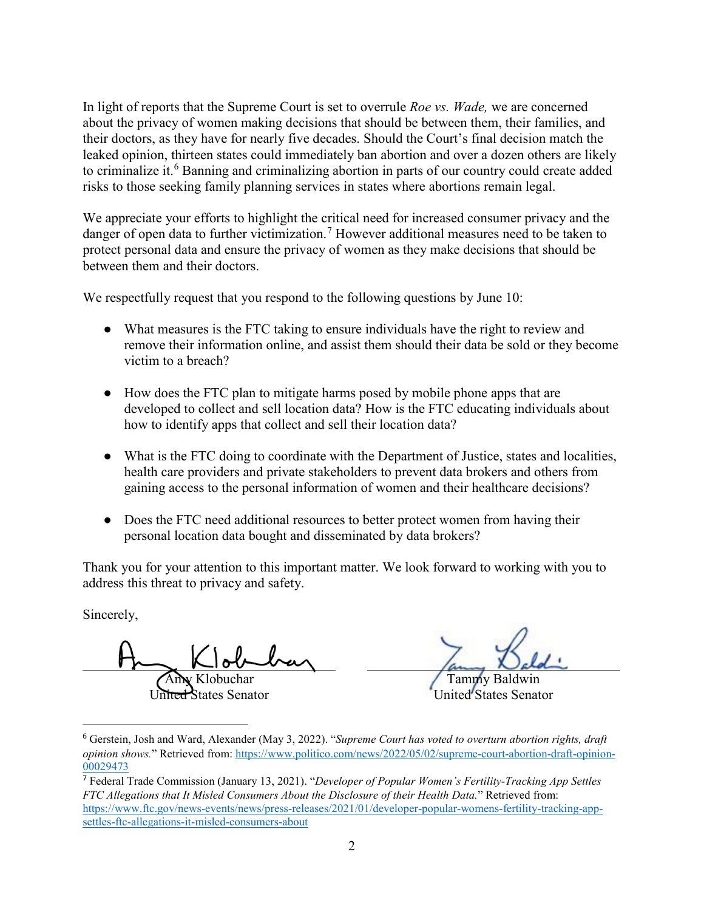In light of reports that the Supreme Court is set to overrule *Roe vs. Wade,* we are concerned about the privacy of women making decisions that should be between them, their families, and their doctors, as they have for nearly five decades. Should the Court's final decision match the leaked opinion, thirteen states could immediately ban abortion and over a dozen others are likely to criminalize it.<sup>[6](#page-1-0)</sup> Banning and criminalizing abortion in parts of our country could create added risks to those seeking family planning services in states where abortions remain legal.

We appreciate your efforts to highlight the critical need for increased consumer privacy and the danger of open data to further victimization.<sup>[7](#page-1-1)</sup> However additional measures need to be taken to protect personal data and ensure the privacy of women as they make decisions that should be between them and their doctors.

We respectfully request that you respond to the following questions by June 10:

- What measures is the FTC taking to ensure individuals have the right to review and remove their information online, and assist them should their data be sold or they become victim to a breach?
- How does the FTC plan to mitigate harms posed by mobile phone apps that are developed to collect and sell location data? How is the FTC educating individuals about how to identify apps that collect and sell their location data?
- What is the FTC doing to coordinate with the Department of Justice, states and localities, health care providers and private stakeholders to prevent data brokers and others from gaining access to the personal information of women and their healthcare decisions?
- Does the FTC need additional resources to better protect women from having their personal location data bought and disseminated by data brokers?

Thank you for your attention to this important matter. We look forward to working with you to address this threat to privacy and safety.

Sincerely,

 $\overline{a}$ 

Amy Klobuchar

United States Senator

Tammy Baldwin United States Senator

<span id="page-1-0"></span><sup>6</sup> Gerstein, Josh and Ward, Alexander (May 3, 2022). "*Supreme Court has voted to overturn abortion rights, draft opinion shows.*" Retrieved from: [https://www.politico.com/news/2022/05/02/supreme-court-abortion-draft-opinion-](https://www.politico.com/news/2022/05/02/supreme-court-abortion-draft-opinion-00029473)[00029473](https://www.politico.com/news/2022/05/02/supreme-court-abortion-draft-opinion-00029473) 

<span id="page-1-1"></span><sup>7</sup> Federal Trade Commission (January 13, 2021). "*Developer of Popular Women's Fertility-Tracking App Settles FTC Allegations that It Misled Consumers About the Disclosure of their Health Data.*" Retrieved from: [https://www.ftc.gov/news-events/news/press-releases/2021/01/developer-popular-womens-fertility-tracking-app](https://www.ftc.gov/news-events/news/press-releases/2021/01/developer-popular-womens-fertility-tracking-app-settles-ftc-allegations-it-misled-consumers-about)[settles-ftc-allegations-it-misled-consumers-about](https://www.ftc.gov/news-events/news/press-releases/2021/01/developer-popular-womens-fertility-tracking-app-settles-ftc-allegations-it-misled-consumers-about)